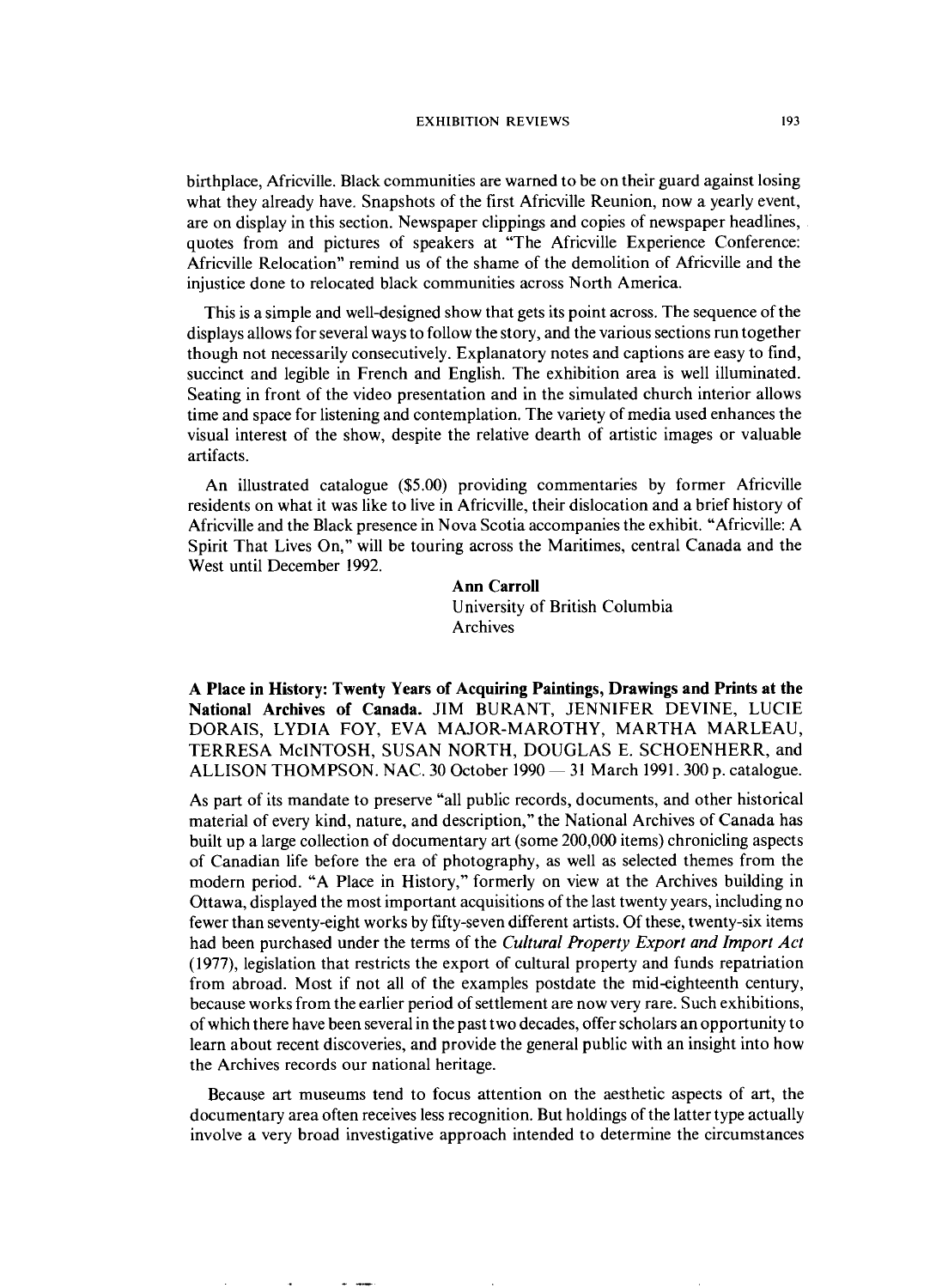## EXHIBITION REVIEWS

birthplace, Africville. Black communities are warned to be on their guard against losing what they already have. Snapshots of the first Africville Reunion, now a yearly event, are on display in this section. Newspaper clippings and copies of newspaper headlines, quotes from and pictures of speakers at "The Africville Experience Conference: Africville Relocation" remind us of the shame of the demolition of Africville and the injustice done to relocated black communities across North America.

This is a simple and well-designed show that gets its point across. The sequence of the displays allows for several ways to follow the story, and the various sections run together though not necessarily consecutively. Explanatory notes and captions are easy to find, succinct and legible in French and English. The exhibition area is well illuminated. Seating in front of the video presentation and in the simulated church interior allows time and space for listening and contemplation. The variety of media used enhances the visual interest of the show, despite the relative dearth of artistic images or valuable artifacts.

An illustrated catalogue (\$5.00) providing commentaries by former Africville residents on what it was like to live in Africville, their dislocation and a brief history of Africville and the Black presence in Nova Scotia accompanies the exhibit. "Africville: A Spirit That Lives On," will be touring across the Maritimes, central Canada and the West until December 1992.

> **Ann Carroll**  University of British Columbia Archives

**A Place in History: Twenty Years of Acquiring Paintings, Drawings and Prints at the National Archives of Canada.** JIM BURANT, JENNIFER DEVINE, LUCIE DORAIS, LYDIA FOY, EVA MAJOR-MAROTHY, MARTHA MARLEAU, TERRESA McINTOSH, SUSAN NORTH, DOUGLAS E. SCHOENHERR, and ALLISON THOMPSON. NAC. 30 October 1990 - 31 March 1991.300 p. catalogue.

As part of its mandate to preserve "all public records, documents, and other historical material of every kind, nature, and description," the National Archives of Canada has built up a large collection of documentary art (some 200,000 items) chronicling aspects of Canadian life before the era of photography, as well as selected themes from the modern period. "A Place in History," formerly on view at the Archives building in Ottawa, displayed the most important acquisitions of the last twenty years, including no fewer than seventy-eight works by fifty-seven different artists. Of these, twenty-six items had been purchased under the terms of the *Cultural Property Export and Import Act*  (1977), legislation that restricts the export of cultural property and funds repatriation from abroad. Most if not all of the examples postdate the mid-eighteenth century, because works from the earlier period of settlement are now very rare. Such exhibitions, of which there have been several in the past two decades, offer scholars an opportunity to learn about recent discoveries, and provide the general public with an insight into how the Archives records our national heritage.

Because art museums tend to focus attention on the aesthetic aspects of art, the documentary area often receives less recognition. But holdings of the latter type actually involve a very broad investigative approach intended to determine the circumstances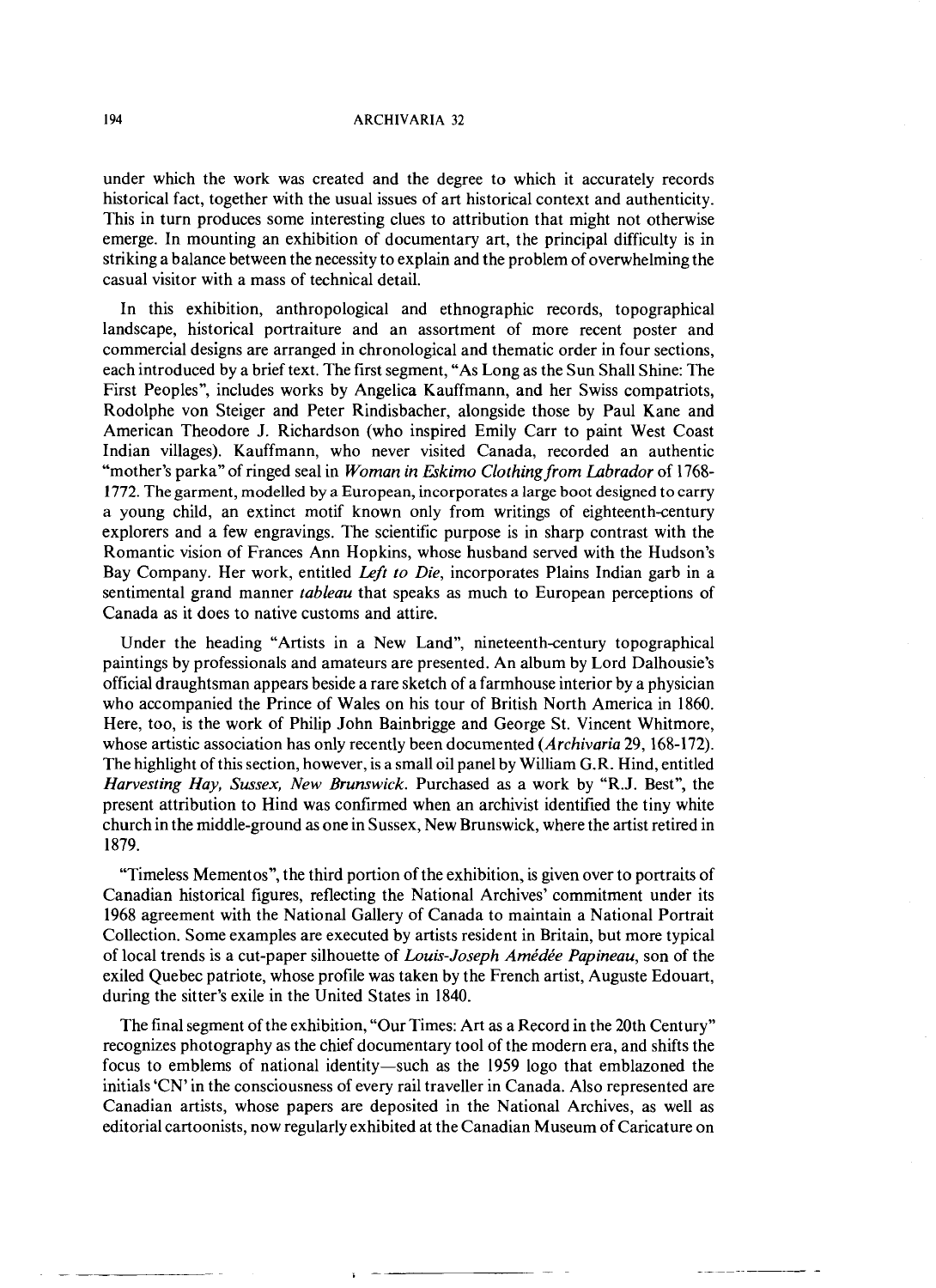## **ARCHIVARIA 32**

under which the work was created and the degree to which it accurately records historical fact, together with the usual issues of art historical context and authenticity. This in turn produces some interesting clues to attribution that might not otherwise emerge. In mounting an exhibition of documentary art, the principal difficulty is in striking a balance between the necessity to explain and the problem of overwhelming the casual visitor with a mass of technical detail.

In this exhibition, anthropological and ethnographic records, topographical landscape, historical portraiture and an assortment of more recent poster and commercial designs are arranged in chronological and thematic order in four sections, each introduced by a brief text. The first segment, "As Long as the Sun Shall Shine: The First Peoples", includes works by Angelica Kauffmann, and her Swiss compatriots, Rodolphe von Steiger and Peter Rindisbacher, alongside those by Paul Kane and American Theodore J. Richardson (who inspired Emily Carr to paint West Coast Indian villages). Kauffmann, who never visited Canada, recorded an authentic "mother's parka" of ringed seal in *Woman in Eskimo Clothing from Labrador* of 1768- 1772. The garment, modelled by **a** European, incorporates a large boot designed to carry a young child, an extinct motif known only from writings of eighteenth-century explorers and a few engravings. The scientific purpose is in sharp contrast with the Romantic vision of Frances Ann Hopkins, whose husband served with the Hudson's Bay Company. Her work, entitled *Left to Die,* incorporates Plains Indian garb in a sentimental grand manner *tableau* that speaks *as* much to European perceptions of Canada as it does to native customs and attire.

Under the heading "Artists in a New Land", nineteenth-century topographical paintings by professionals and amateurs are presented. An album by Lord Dalhousie's official draughtsman appears beside a rare sketch of a farmhouse interior by a physician who accompanied the Prince of Wales on his tour of British North America in 1860. Here, too, is the work of Philip John Bainbrigge and George St. Vincent Whitmore, whose artistic association has only recently been documented *(Archivaria* 29, 168-172). The highlight of this section, however, is a small oil panel by William G.R. Hind, entitled *Harvesting Hay, Sussex, New Brunswick.* Purchased as a work by "R.J. Best", the present attribution to Hind was confirmed when an archivist identified the tiny white church in the middle-ground as one in Sussex, New Brunswick, where the artist retired in 1879.

"Timeless Mementos", the third portion of the exhibition, is given over to portraits of Canadian historical figures, reflecting the National Archives' commitment under its 1968 agreement with the National Gallery of Canada to maintain a National Portrait Collection. Some examples are executed by artists resident in Britain, but more typical of local trends is a cut-paper silhouette of *Louis-Joseph Amédée Papineau*, son of the exiled Quebec patriote, whose profile was taken by the French artist, Auguste Edouart, during the sitter's exile in the United States in 1840.

The final segment of the exhibition, "Our Times: Art as a Record in the 20th Century" recognizes photography as the chief documentary tool of the modern era, and shifts the focus to emblems of national identity-such as the 1959 logo that emblazoned the initials 'CN' in the consciousness of every rail traveller in Canada. Also represented are Canadian artists, whose papers are deposited in the National Archives, as well as editorial cartoonists, now regularly exhibited at the Canadian Museum of Caricature on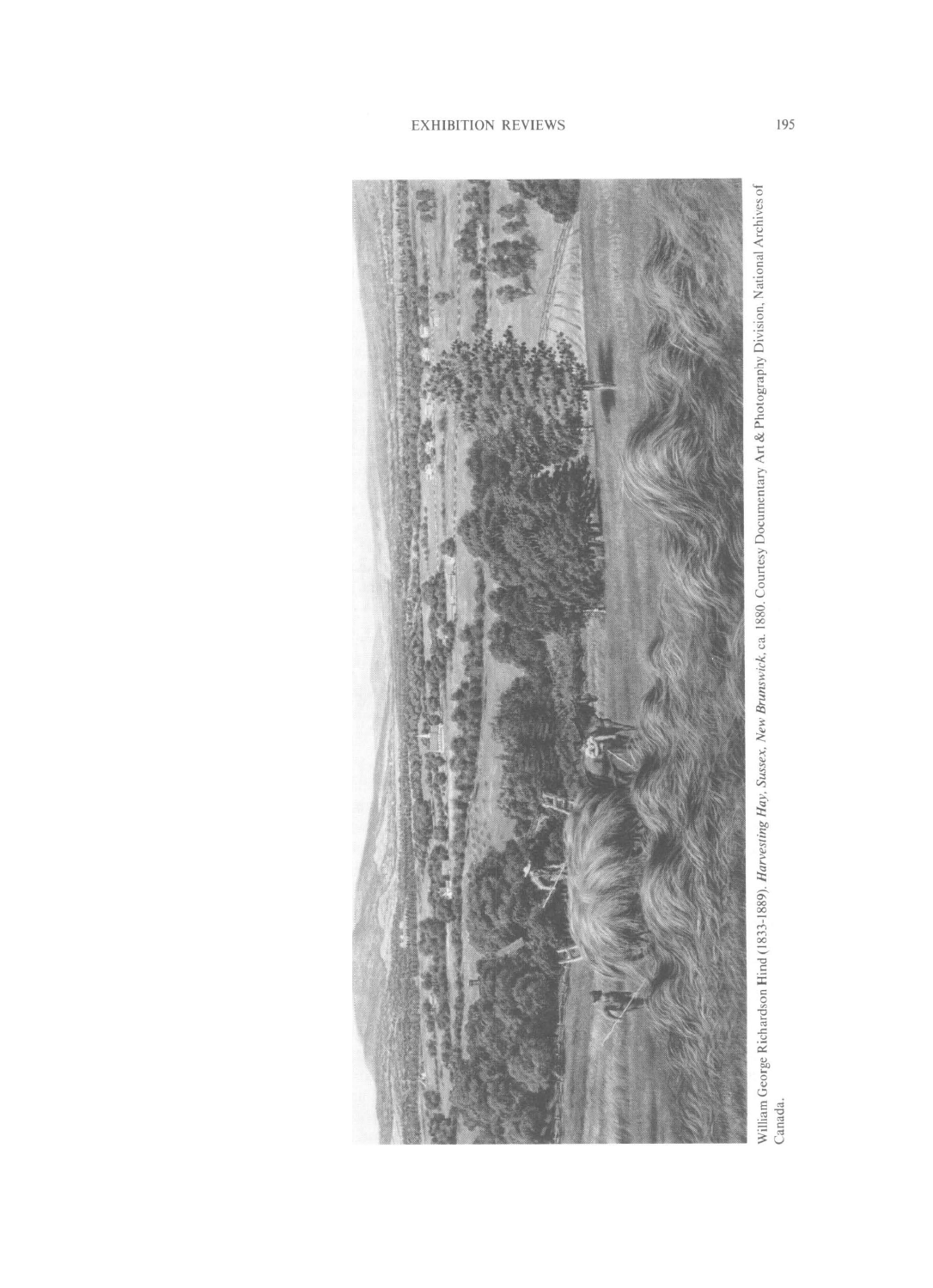

William George Richardson Hind (1833-1889). Harvesting Hay, Sussex, New Brunswick, ca. 1880. Courtesy Documentary Art & Photography Division, National Archives of<br>Canada.